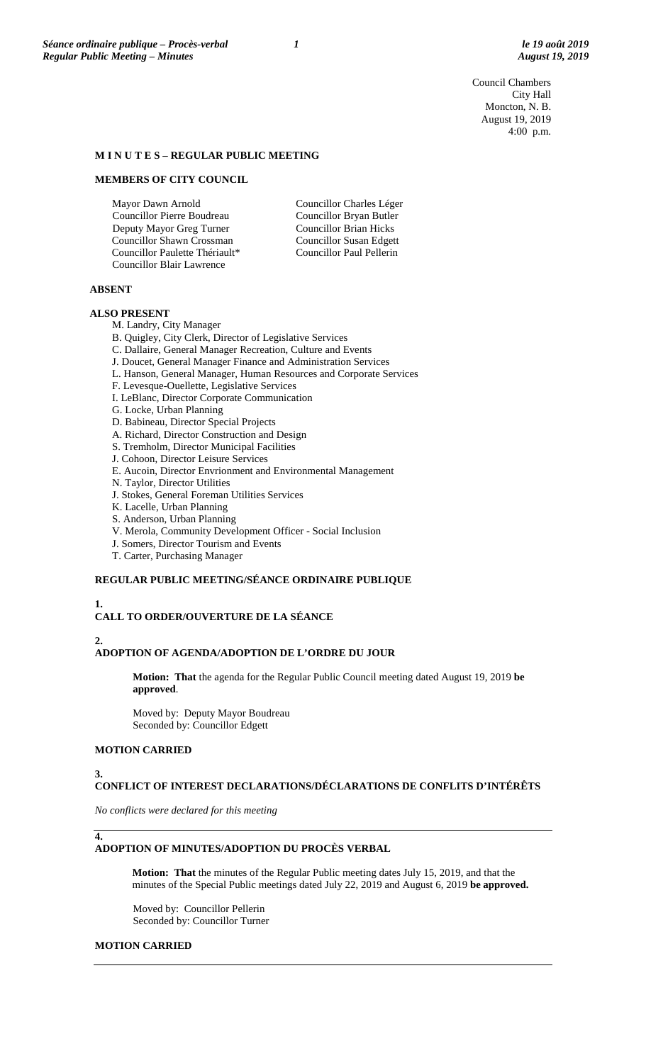Council Chambers City Hall Moncton, N. B. August 19, 2019 4:00 p.m.

#### **M I N U T E S – REGULAR PUBLIC MEETING**

#### **MEMBERS OF CITY COUNCIL**

Mayor Dawn Arnold Councillor Pierre Boudreau Deputy Mayor Greg Turner Councillor Shawn Crossman Councillor Paulette Thériault\* Councillor Blair Lawrence

Councillor Charles Léger Councillor Bryan Butler Councillor Brian Hicks Councillor Susan Edgett Councillor Paul Pellerin

#### **ABSENT**

#### **ALSO PRESENT**

M. Landry, City Manager

- B. Quigley, City Clerk, Director of Legislative Services
- C. Dallaire, General Manager Recreation, Culture and Events
- J. Doucet, General Manager Finance and Administration Services
- L. Hanson, General Manager, Human Resources and Corporate Services
- F. Levesque-Ouellette, Legislative Services
- I. LeBlanc, Director Corporate Communication
- G. Locke, Urban Planning
- D. Babineau, Director Special Projects
- A. Richard, Director Construction and Design
- S. Tremholm, Director Municipal Facilities
- J. Cohoon, Director Leisure Services
- E. Aucoin, Director Envrionment and Environmental Management
- N. Taylor, Director Utilities
- J. Stokes, General Foreman Utilities Services
- K. Lacelle, Urban Planning
- S. Anderson, Urban Planning
- V. Merola, Community Development Officer Social Inclusion
- J. Somers, Director Tourism and Events
- T. Carter, Purchasing Manager

#### **REGULAR PUBLIC MEETING/SÉANCE ORDINAIRE PUBLIQUE**

## **1.**

#### **CALL TO ORDER/OUVERTURE DE LA SÉANCE**

#### **2.**

#### **ADOPTION OF AGENDA/ADOPTION DE L'ORDRE DU JOUR**

**Motion: That** the agenda for the Regular Public Council meeting dated August 19, 2019 **be approved**.

Moved by: Deputy Mayor Boudreau Seconded by: Councillor Edgett

#### **MOTION CARRIED**

#### **3.**

**4.**

#### **CONFLICT OF INTEREST DECLARATIONS/DÉCLARATIONS DE CONFLITS D'INTÉRÊTS**

*No conflicts were declared for this meeting*

#### **ADOPTION OF MINUTES/ADOPTION DU PROCÈS VERBAL**

**Motion: That** the minutes of the Regular Public meeting dates July 15, 2019, and that the minutes of the Special Public meetings dated July 22, 2019 and August 6, 2019 **be approved.**

Moved by: Councillor Pellerin Seconded by: Councillor Turner

#### **MOTION CARRIED**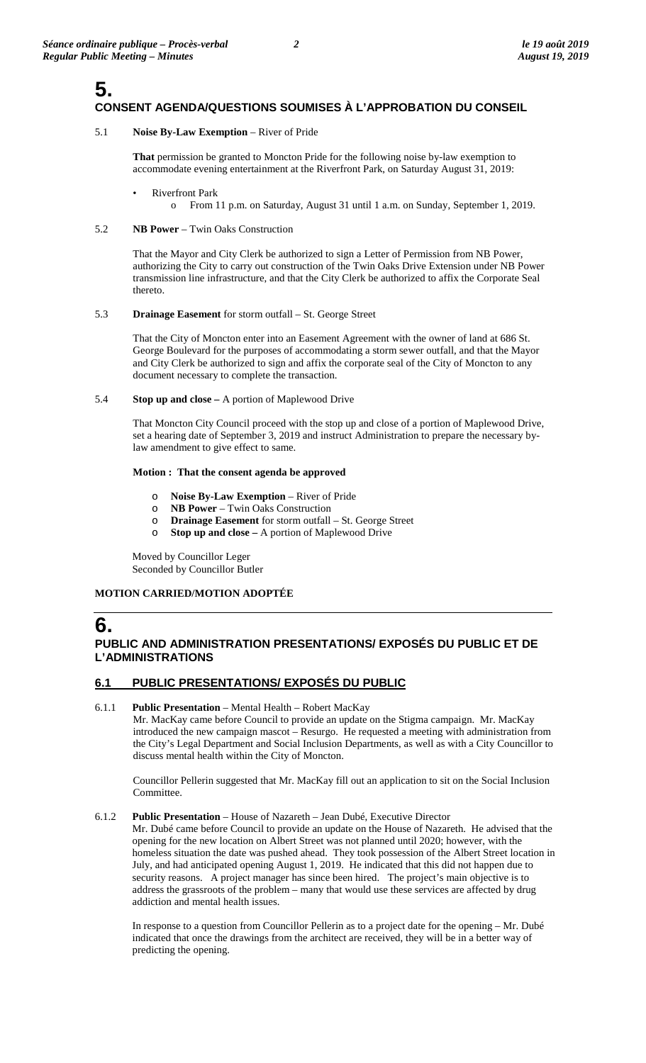# **5. CONSENT AGENDA/QUESTIONS SOUMISES À L'APPROBATION DU CONSEIL**

### 5.1 **Noise By-Law Exemption** – River of Pride

**That** permission be granted to Moncton Pride for the following noise by-law exemption to accommodate evening entertainment at the Riverfront Park, on Saturday August 31, 2019:

- **Riverfront Park** 
	- o From 11 p.m. on Saturday, August 31 until 1 a.m. on Sunday, September 1, 2019.

## 5.2 **NB Power** – Twin Oaks Construction

That the Mayor and City Clerk be authorized to sign a Letter of Permission from NB Power, authorizing the City to carry out construction of the Twin Oaks Drive Extension under NB Power transmission line infrastructure, and that the City Clerk be authorized to affix the Corporate Seal thereto.

## 5.3 **Drainage Easement** for storm outfall – St. George Street

That the City of Moncton enter into an Easement Agreement with the owner of land at 686 St. George Boulevard for the purposes of accommodating a storm sewer outfall, and that the Mayor and City Clerk be authorized to sign and affix the corporate seal of the City of Moncton to any document necessary to complete the transaction.

## 5.4 **Stop up and close –** A portion of Maplewood Drive

That Moncton City Council proceed with the stop up and close of a portion of Maplewood Drive, set a hearing date of September 3, 2019 and instruct Administration to prepare the necessary bylaw amendment to give effect to same.

## **Motion : That the consent agenda be approved**

- o **Noise By-Law Exemption**  River of Pride
- **NB Power Twin Oaks Construction**
- o **Drainage Easement** for storm outfall St. George Street o **Stop up and close** A portion of Manlewood Drive
- **Stop up and close –** A portion of Maplewood Drive

Moved by Councillor Leger Seconded by Councillor Butler

# **MOTION CARRIED/MOTION ADOPTÉE**

# **6.**

# **PUBLIC AND ADMINISTRATION PRESENTATIONS/ EXPOSÉS DU PUBLIC ET DE L'ADMINISTRATIONS**

# **6.1 PUBLIC PRESENTATIONS/ EXPOSÉS DU PUBLIC**

# 6.1.1 **Public Presentation** – Mental Health – Robert MacKay

Mr. MacKay came before Council to provide an update on the Stigma campaign. Mr. MacKay introduced the new campaign mascot – Resurgo. He requested a meeting with administration from the City's Legal Department and Social Inclusion Departments, as well as with a City Councillor to discuss mental health within the City of Moncton.

Councillor Pellerin suggested that Mr. MacKay fill out an application to sit on the Social Inclusion Committee.

## 6.1.2 **Public Presentation** – House of Nazareth – Jean Dubé, Executive Director

Mr. Dubé came before Council to provide an update on the House of Nazareth. He advised that the opening for the new location on Albert Street was not planned until 2020; however, with the homeless situation the date was pushed ahead. They took possession of the Albert Street location in July, and had anticipated opening August 1, 2019. He indicated that this did not happen due to security reasons. A project manager has since been hired. The project's main objective is to address the grassroots of the problem – many that would use these services are affected by drug addiction and mental health issues.

In response to a question from Councillor Pellerin as to a project date for the opening – Mr. Dubé indicated that once the drawings from the architect are received, they will be in a better way of predicting the opening.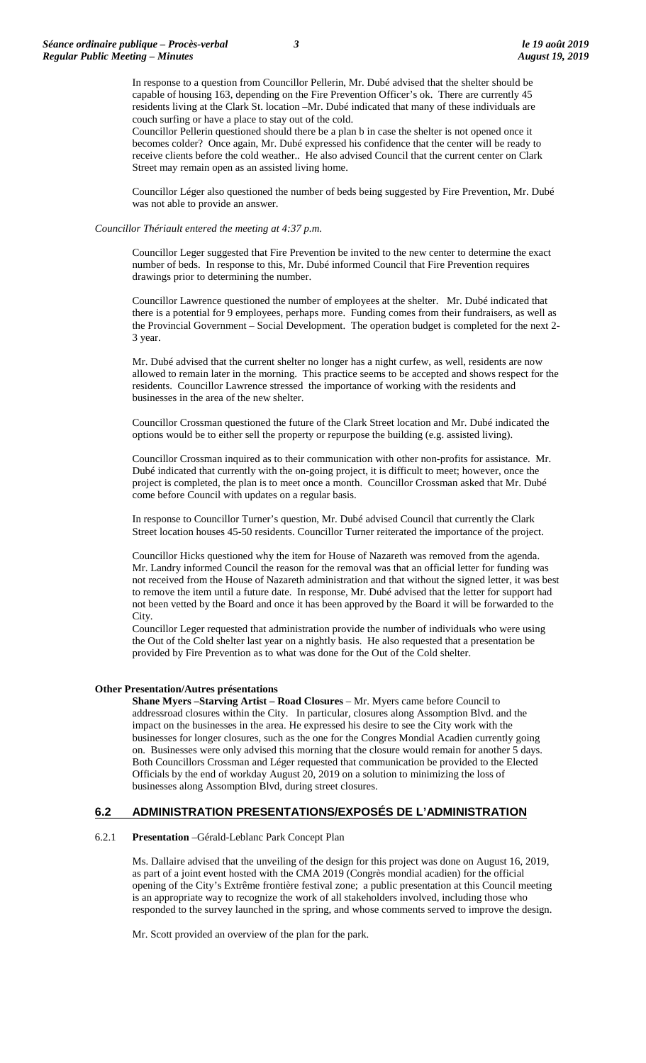In response to a question from Councillor Pellerin, Mr. Dubé advised that the shelter should be capable of housing 163, depending on the Fire Prevention Officer's ok. There are currently 45 residents living at the Clark St. location –Mr. Dubé indicated that many of these individuals are couch surfing or have a place to stay out of the cold.

Councillor Pellerin questioned should there be a plan b in case the shelter is not opened once it becomes colder? Once again, Mr. Dubé expressed his confidence that the center will be ready to receive clients before the cold weather.. He also advised Council that the current center on Clark Street may remain open as an assisted living home.

Councillor Léger also questioned the number of beds being suggested by Fire Prevention, Mr. Dubé was not able to provide an answer.

#### *Councillor Thériault entered the meeting at 4:37 p.m.*

Councillor Leger suggested that Fire Prevention be invited to the new center to determine the exact number of beds. In response to this, Mr. Dubé informed Council that Fire Prevention requires drawings prior to determining the number.

Councillor Lawrence questioned the number of employees at the shelter. Mr. Dubé indicated that there is a potential for 9 employees, perhaps more. Funding comes from their fundraisers, as well as the Provincial Government – Social Development. The operation budget is completed for the next 2- 3 year.

Mr. Dubé advised that the current shelter no longer has a night curfew, as well, residents are now allowed to remain later in the morning. This practice seems to be accepted and shows respect for the residents. Councillor Lawrence stressed the importance of working with the residents and businesses in the area of the new shelter.

Councillor Crossman questioned the future of the Clark Street location and Mr. Dubé indicated the options would be to either sell the property or repurpose the building (e.g. assisted living).

Councillor Crossman inquired as to their communication with other non-profits for assistance. Mr. Dubé indicated that currently with the on-going project, it is difficult to meet; however, once the project is completed, the plan is to meet once a month. Councillor Crossman asked that Mr. Dubé come before Council with updates on a regular basis.

In response to Councillor Turner's question, Mr. Dubé advised Council that currently the Clark Street location houses 45-50 residents. Councillor Turner reiterated the importance of the project.

Councillor Hicks questioned why the item for House of Nazareth was removed from the agenda. Mr. Landry informed Council the reason for the removal was that an official letter for funding was not received from the House of Nazareth administration and that without the signed letter, it was best to remove the item until a future date. In response, Mr. Dubé advised that the letter for support had not been vetted by the Board and once it has been approved by the Board it will be forwarded to the City.

Councillor Leger requested that administration provide the number of individuals who were using the Out of the Cold shelter last year on a nightly basis. He also requested that a presentation be provided by Fire Prevention as to what was done for the Out of the Cold shelter.

#### **Other Presentation/Autres présentations**

**Shane Myers –Starving Artist – Road Closures** – Mr. Myers came before Council to addressroad closures within the City. In particular, closures along Assomption Blvd. and the impact on the businesses in the area. He expressed his desire to see the City work with the businesses for longer closures, such as the one for the Congres Mondial Acadien currently going on. Businesses were only advised this morning that the closure would remain for another 5 days. Both Councillors Crossman and Léger requested that communication be provided to the Elected Officials by the end of workday August 20, 2019 on a solution to minimizing the loss of businesses along Assomption Blvd, during street closures.

#### **6.2 ADMINISTRATION PRESENTATIONS/EXPOSÉS DE L'ADMINISTRATION**

#### 6.2.1 **Presentation** –Gérald-Leblanc Park Concept Plan

Ms. Dallaire advised that the unveiling of the design for this project was done on August 16, 2019, as part of a joint event hosted with the CMA 2019 (Congrès mondial acadien) for the official opening of the City's Extrême frontière festival zone; a public presentation at this Council meeting is an appropriate way to recognize the work of all stakeholders involved, including those who responded to the survey launched in the spring, and whose comments served to improve the design.

Mr. Scott provided an overview of the plan for the park.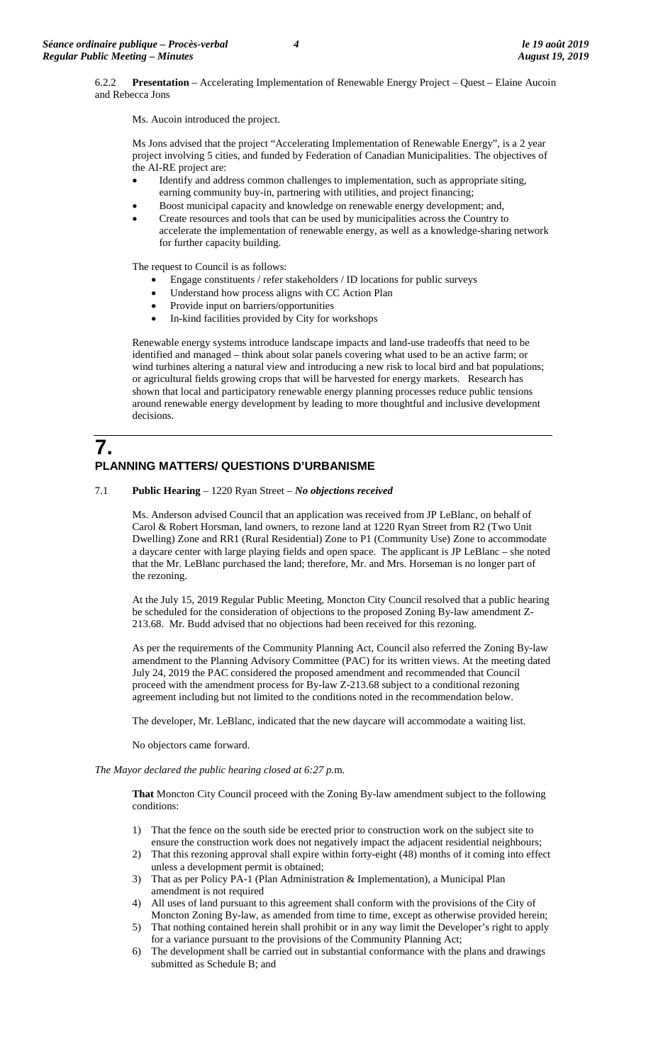6.2.2 **Presentation** – Accelerating Implementation of Renewable Energy Project – Quest – Elaine Aucoin and Rebecca Jons

Ms. Aucoin introduced the project.

Ms Jons advised that the project "Accelerating Implementation of Renewable Energy", is a 2 year project involving 5 cities, and funded by Federation of Canadian Municipalities. The objectives of the AI-RE project are:

- Identify and address common challenges to implementation, such as appropriate siting, earning community buy-in, partnering with utilities, and project financing;
- Boost municipal capacity and knowledge on renewable energy development; and,
- Create resources and tools that can be used by municipalities across the Country to accelerate the implementation of renewable energy, as well as a knowledge-sharing network for further capacity building.

The request to Council is as follows:

- Engage constituents / refer stakeholders / ID locations for public surveys
- Understand how process aligns with CC Action Plan
- Provide input on barriers/opportunities
- In-kind facilities provided by City for workshops

Renewable energy systems introduce landscape impacts and land-use tradeoffs that need to be identified and managed – think about solar panels covering what used to be an active farm; or wind turbines altering a natural view and introducing a new risk to local bird and bat populations; or agricultural fields growing crops that will be harvested for energy markets. Research has shown that local and participatory renewable energy planning processes reduce public tensions around renewable energy development by leading to more thoughtful and inclusive development decisions.

# **7. PLANNING MATTERS/ QUESTIONS D'URBANISME**

7.1 **Public Hearing** – 1220 Ryan Street – *No objections received*

Ms. Anderson advised Council that an application was received from JP LeBlanc, on behalf of Carol & Robert Horsman, land owners, to rezone land at 1220 Ryan Street from R2 (Two Unit Dwelling) Zone and RR1 (Rural Residential) Zone to P1 (Community Use) Zone to accommodate a daycare center with large playing fields and open space. The applicant is JP LeBlanc – she noted that the Mr. LeBlanc purchased the land; therefore, Mr. and Mrs. Horseman is no longer part of the rezoning.

At the July 15, 2019 Regular Public Meeting, Moncton City Council resolved that a public hearing be scheduled for the consideration of objections to the proposed Zoning By-law amendment Z-213.68. Mr. Budd advised that no objections had been received for this rezoning.

As per the requirements of the Community Planning Act, Council also referred the Zoning By-law amendment to the Planning Advisory Committee (PAC) for its written views. At the meeting dated July 24, 2019 the PAC considered the proposed amendment and recommended that Council proceed with the amendment process for By-law Z-213.68 subject to a conditional rezoning agreement including but not limited to the conditions noted in the recommendation below.

The developer, Mr. LeBlanc, indicated that the new daycare will accommodate a waiting list.

No objectors came forward.

#### *The Mayor declared the public hearing closed at 6:27 p.*m.

**That** Moncton City Council proceed with the Zoning By-law amendment subject to the following conditions:

- 1) That the fence on the south side be erected prior to construction work on the subject site to ensure the construction work does not negatively impact the adjacent residential neighbours;
- 2) That this rezoning approval shall expire within forty-eight (48) months of it coming into effect unless a development permit is obtained;
- 3) That as per Policy PA-1 (Plan Administration & Implementation), a Municipal Plan amendment is not required
- 4) All uses of land pursuant to this agreement shall conform with the provisions of the City of Moncton Zoning By-law, as amended from time to time, except as otherwise provided herein;
- 5) That nothing contained herein shall prohibit or in any way limit the Developer's right to apply for a variance pursuant to the provisions of the Community Planning Act;
- 6) The development shall be carried out in substantial conformance with the plans and drawings submitted as Schedule B; and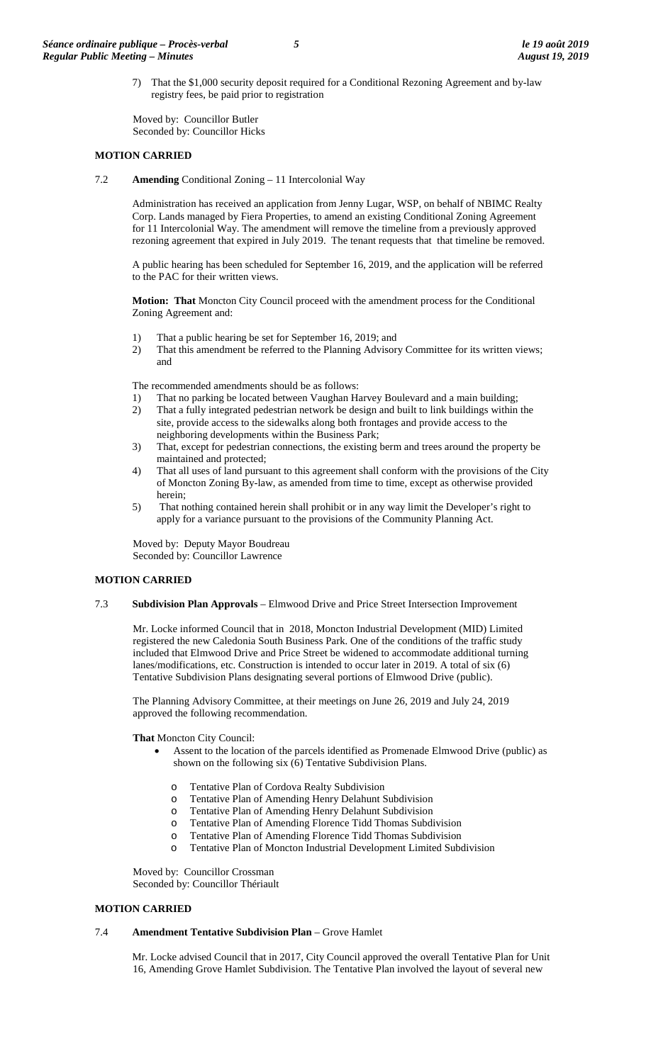7) That the \$1,000 security deposit required for a Conditional Rezoning Agreement and by-law registry fees, be paid prior to registration

Moved by: Councillor Butler Seconded by: Councillor Hicks

#### **MOTION CARRIED**

7.2 **Amending** Conditional Zoning – 11 Intercolonial Way

Administration has received an application from Jenny Lugar, WSP, on behalf of NBIMC Realty Corp. Lands managed by Fiera Properties, to amend an existing Conditional Zoning Agreement for 11 Intercolonial Way. The amendment will remove the timeline from a previously approved rezoning agreement that expired in July 2019. The tenant requests that that timeline be removed.

A public hearing has been scheduled for September 16, 2019, and the application will be referred to the PAC for their written views.

**Motion: That** Moncton City Council proceed with the amendment process for the Conditional Zoning Agreement and:

- 1) That a public hearing be set for September 16, 2019; and
- 2) That this amendment be referred to the Planning Advisory Committee for its written views; and

The recommended amendments should be as follows:

- 1) That no parking be located between Vaughan Harvey Boulevard and a main building;
- 2) That a fully integrated pedestrian network be design and built to link buildings within the site, provide access to the sidewalks along both frontages and provide access to the neighboring developments within the Business Park;
- 3) That, except for pedestrian connections, the existing berm and trees around the property be maintained and protected;
- 4) That all uses of land pursuant to this agreement shall conform with the provisions of the City of Moncton Zoning By-law, as amended from time to time, except as otherwise provided herein;
- 5) That nothing contained herein shall prohibit or in any way limit the Developer's right to apply for a variance pursuant to the provisions of the Community Planning Act.

Moved by: Deputy Mayor Boudreau Seconded by: Councillor Lawrence

#### **MOTION CARRIED**

7.3 **Subdivision Plan Approvals** – Elmwood Drive and Price Street Intersection Improvement

Mr. Locke informed Council that in 2018, Moncton Industrial Development (MID) Limited registered the new Caledonia South Business Park. One of the conditions of the traffic study included that Elmwood Drive and Price Street be widened to accommodate additional turning lanes/modifications, etc. Construction is intended to occur later in 2019. A total of six (6) Tentative Subdivision Plans designating several portions of Elmwood Drive (public).

The Planning Advisory Committee, at their meetings on June 26, 2019 and July 24, 2019 approved the following recommendation.

**That** Moncton City Council:

- Assent to the location of the parcels identified as Promenade Elmwood Drive (public) as shown on the following six (6) Tentative Subdivision Plans.
	- o Tentative Plan of Cordova Realty Subdivision
	- o Tentative Plan of Amending Henry Delahunt Subdivision
	- Tentative Plan of Amending Henry Delahunt Subdivision
	-
	- o Tentative Plan of Amending Florence Tidd Thomas Subdivision Tentative Plan of Amending Florence Tidd Thomas Subdivision
	- Tentative Plan of Moncton Industrial Development Limited Subdivision

Moved by: Councillor Crossman Seconded by: Councillor Thériault

#### **MOTION CARRIED**

#### 7.4 **Amendment Tentative Subdivision Plan** – Grove Hamlet

Mr. Locke advised Council that in 2017, City Council approved the overall Tentative Plan for Unit 16, Amending Grove Hamlet Subdivision. The Tentative Plan involved the layout of several new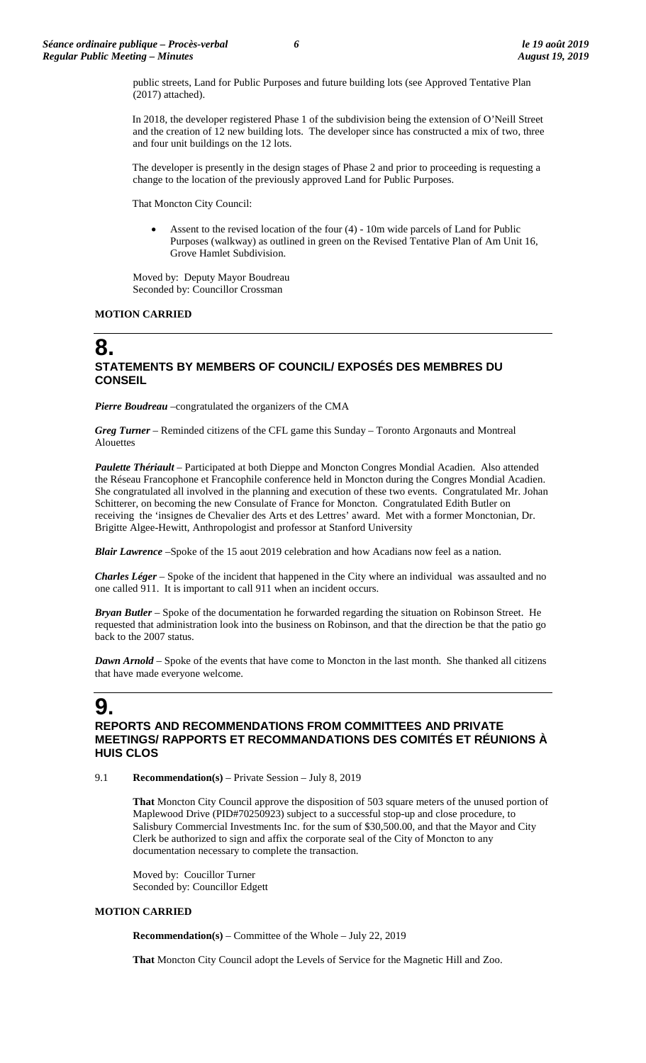public streets, Land for Public Purposes and future building lots (see Approved Tentative Plan (2017) attached).

In 2018, the developer registered Phase 1 of the subdivision being the extension of O'Neill Street and the creation of 12 new building lots. The developer since has constructed a mix of two, three and four unit buildings on the 12 lots.

The developer is presently in the design stages of Phase 2 and prior to proceeding is requesting a change to the location of the previously approved Land for Public Purposes.

That Moncton City Council:

Assent to the revised location of the four  $(4)$  - 10m wide parcels of Land for Public Purposes (walkway) as outlined in green on the Revised Tentative Plan of Am Unit 16, Grove Hamlet Subdivision.

Moved by: Deputy Mayor Boudreau Seconded by: Councillor Crossman

#### **MOTION CARRIED**

# **8. STATEMENTS BY MEMBERS OF COUNCIL/ EXPOSÉS DES MEMBRES DU CONSEIL**

**Pierre Boudreau** –congratulated the organizers of the CMA

*Greg Turner* – Reminded citizens of the CFL game this Sunday – Toronto Argonauts and Montreal Alouettes

*Paulette Thériault* – Participated at both Dieppe and Moncton Congres Mondial Acadien. Also attended the Réseau Francophone et Francophile conference held in Moncton during the Congres Mondial Acadien. She congratulated all involved in the planning and execution of these two events. Congratulated Mr. Johan Schitterer, on becoming the new Consulate of France for Moncton. Congratulated Edith Butler on receiving the 'insignes de Chevalier des Arts et des Lettres' award. Met with a former Monctonian, Dr. Brigitte Algee-Hewitt, Anthropologist and professor at Stanford University

*Blair Lawrence* –Spoke of the 15 aout 2019 celebration and how Acadians now feel as a nation.

*Charles Léger* – Spoke of the incident that happened in the City where an individual was assaulted and no one called 911. It is important to call 911 when an incident occurs.

*Bryan Butler* – Spoke of the documentation he forwarded regarding the situation on Robinson Street. He requested that administration look into the business on Robinson, and that the direction be that the patio go back to the 2007 status.

*Dawn Arnold* – Spoke of the events that have come to Moncton in the last month. She thanked all citizens that have made everyone welcome.

# **9.**

#### **REPORTS AND RECOMMENDATIONS FROM COMMITTEES AND PRIVATE MEETINGS/ RAPPORTS ET RECOMMANDATIONS DES COMITÉS ET RÉUNIONS À HUIS CLOS**

9.1 **Recommendation(s)** – Private Session – July 8, 2019

**That** Moncton City Council approve the disposition of 503 square meters of the unused portion of Maplewood Drive (PID#70250923) subject to a successful stop-up and close procedure, to Salisbury Commercial Investments Inc. for the sum of \$30,500.00, and that the Mayor and City Clerk be authorized to sign and affix the corporate seal of the City of Moncton to any documentation necessary to complete the transaction.

Moved by: Coucillor Turner Seconded by: Councillor Edgett

#### **MOTION CARRIED**

**Recommendation(s)** – Committee of the Whole – July 22, 2019

**That** Moncton City Council adopt the Levels of Service for the Magnetic Hill and Zoo.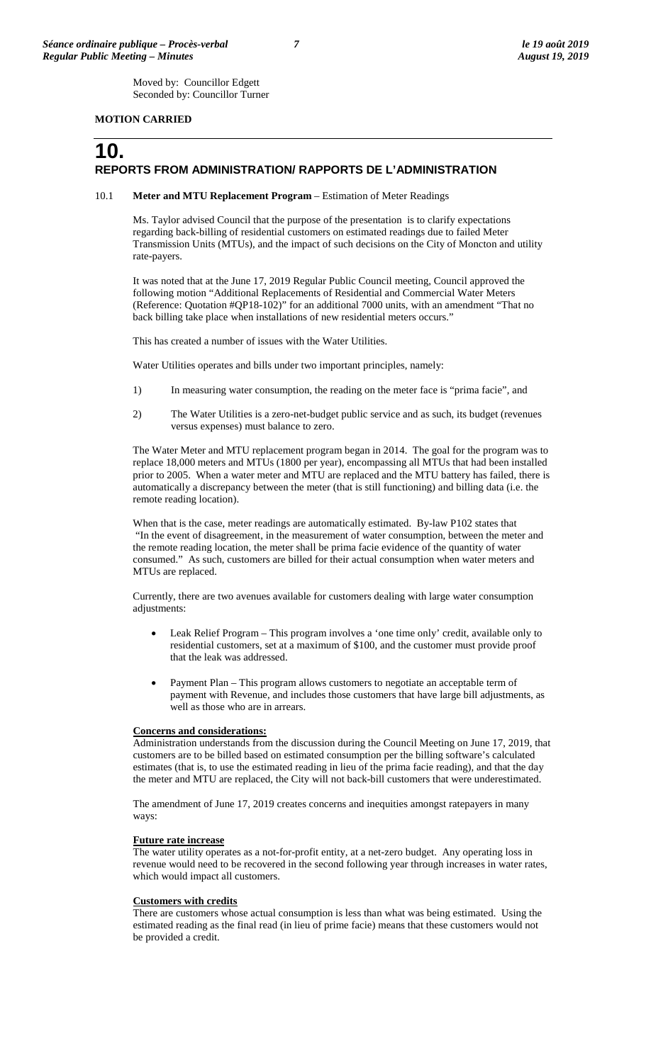Moved by: Councillor Edgett Seconded by: Councillor Turner

#### **MOTION CARRIED**

# **10. REPORTS FROM ADMINISTRATION/ RAPPORTS DE L'ADMINISTRATION**

#### 10.1 **Meter and MTU Replacement Program** – Estimation of Meter Readings

Ms. Taylor advised Council that the purpose of the presentation is to clarify expectations regarding back-billing of residential customers on estimated readings due to failed Meter Transmission Units (MTUs), and the impact of such decisions on the City of Moncton and utility rate-payers.

It was noted that at the June 17, 2019 Regular Public Council meeting, Council approved the following motion "Additional Replacements of Residential and Commercial Water Meters (Reference: Quotation #QP18-102)" for an additional 7000 units, with an amendment "That no back billing take place when installations of new residential meters occurs."

This has created a number of issues with the Water Utilities.

Water Utilities operates and bills under two important principles, namely:

- 1) In measuring water consumption, the reading on the meter face is "prima facie", and
- 2) The Water Utilities is a zero-net-budget public service and as such, its budget (revenues versus expenses) must balance to zero.

The Water Meter and MTU replacement program began in 2014. The goal for the program was to replace 18,000 meters and MTUs (1800 per year), encompassing all MTUs that had been installed prior to 2005. When a water meter and MTU are replaced and the MTU battery has failed, there is automatically a discrepancy between the meter (that is still functioning) and billing data (i.e. the remote reading location).

When that is the case, meter readings are automatically estimated. By-law P102 states that "In the event of disagreement, in the measurement of water consumption, between the meter and the remote reading location, the meter shall be prima facie evidence of the quantity of water consumed." As such, customers are billed for their actual consumption when water meters and MTUs are replaced.

Currently, there are two avenues available for customers dealing with large water consumption adjustments:

- Leak Relief Program This program involves a 'one time only' credit, available only to residential customers, set at a maximum of \$100, and the customer must provide proof that the leak was addressed.
- Payment Plan This program allows customers to negotiate an acceptable term of payment with Revenue, and includes those customers that have large bill adjustments, as well as those who are in arrears.

#### **Concerns and considerations:**

Administration understands from the discussion during the Council Meeting on June 17, 2019, that customers are to be billed based on estimated consumption per the billing software's calculated estimates (that is, to use the estimated reading in lieu of the prima facie reading), and that the day the meter and MTU are replaced, the City will not back-bill customers that were underestimated.

The amendment of June 17, 2019 creates concerns and inequities amongst ratepayers in many ways:

#### **Future rate increase**

The water utility operates as a not-for-profit entity, at a net-zero budget. Any operating loss in revenue would need to be recovered in the second following year through increases in water rates, which would impact all customers.

#### **Customers with credits**

There are customers whose actual consumption is less than what was being estimated. Using the estimated reading as the final read (in lieu of prime facie) means that these customers would not be provided a credit.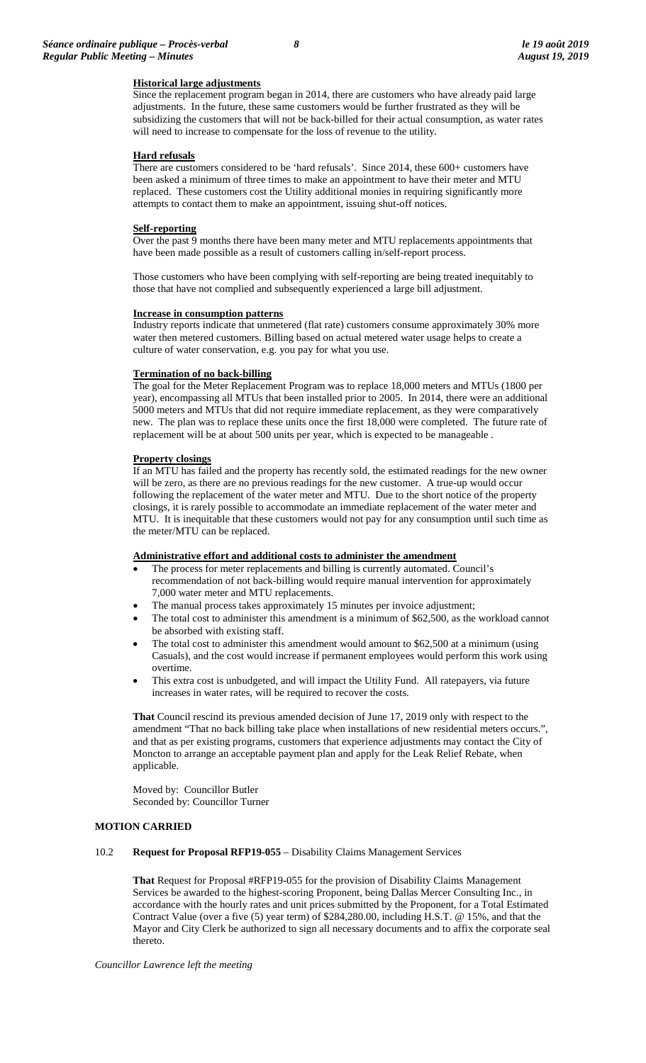#### **Historical large adjustments**

Since the replacement program began in 2014, there are customers who have already paid large adjustments. In the future, these same customers would be further frustrated as they will be subsidizing the customers that will not be back-billed for their actual consumption, as water rates will need to increase to compensate for the loss of revenue to the utility.

#### **Hard refusals**

There are customers considered to be 'hard refusals'. Since 2014, these 600+ customers have been asked a minimum of three times to make an appointment to have their meter and MTU replaced. These customers cost the Utility additional monies in requiring significantly more attempts to contact them to make an appointment, issuing shut-off notices.

#### **Self-reporting**

Over the past 9 months there have been many meter and MTU replacements appointments that have been made possible as a result of customers calling in/self-report process.

Those customers who have been complying with self-reporting are being treated inequitably to those that have not complied and subsequently experienced a large bill adjustment.

#### **Increase in consumption patterns**

Industry reports indicate that unmetered (flat rate) customers consume approximately 30% more water then metered customers. Billing based on actual metered water usage helps to create a culture of water conservation, e.g. you pay for what you use.

#### **Termination of no back-billing**

The goal for the Meter Replacement Program was to replace 18,000 meters and MTUs (1800 per year), encompassing all MTUs that been installed prior to 2005. In 2014, there were an additional 5000 meters and MTUs that did not require immediate replacement, as they were comparatively new. The plan was to replace these units once the first 18,000 were completed. The future rate of replacement will be at about 500 units per year, which is expected to be manageable .

#### **Property closings**

If an MTU has failed and the property has recently sold, the estimated readings for the new owner will be zero, as there are no previous readings for the new customer. A true-up would occur following the replacement of the water meter and MTU. Due to the short notice of the property closings, it is rarely possible to accommodate an immediate replacement of the water meter and MTU. It is inequitable that these customers would not pay for any consumption until such time as the meter/MTU can be replaced.

#### **Administrative effort and additional costs to administer the amendment**

- The process for meter replacements and billing is currently automated. Council's recommendation of not back-billing would require manual intervention for approximately 7,000 water meter and MTU replacements.
- The manual process takes approximately 15 minutes per invoice adjustment;
- The total cost to administer this amendment is a minimum of \$62,500, as the workload cannot be absorbed with existing staff.
- The total cost to administer this amendment would amount to \$62,500 at a minimum (using Casuals), and the cost would increase if permanent employees would perform this work using overtime.
- This extra cost is unbudgeted, and will impact the Utility Fund. All ratepayers, via future increases in water rates, will be required to recover the costs.

**That** Council rescind its previous amended decision of June 17, 2019 only with respect to the amendment "That no back billing take place when installations of new residential meters occurs.", and that as per existing programs, customers that experience adjustments may contact the City of Moncton to arrange an acceptable payment plan and apply for the Leak Relief Rebate, when applicable.

Moved by: Councillor Butler Seconded by: Councillor Turner

#### **MOTION CARRIED**

#### 10.2 **Request for Proposal RFP19-055** – Disability Claims Management Services

**That** Request for Proposal #RFP19-055 for the provision of Disability Claims Management Services be awarded to the highest-scoring Proponent, being Dallas Mercer Consulting Inc., in accordance with the hourly rates and unit prices submitted by the Proponent, for a Total Estimated Contract Value (over a five (5) year term) of \$284,280.00, including H.S.T. @ 15%, and that the Mayor and City Clerk be authorized to sign all necessary documents and to affix the corporate seal thereto.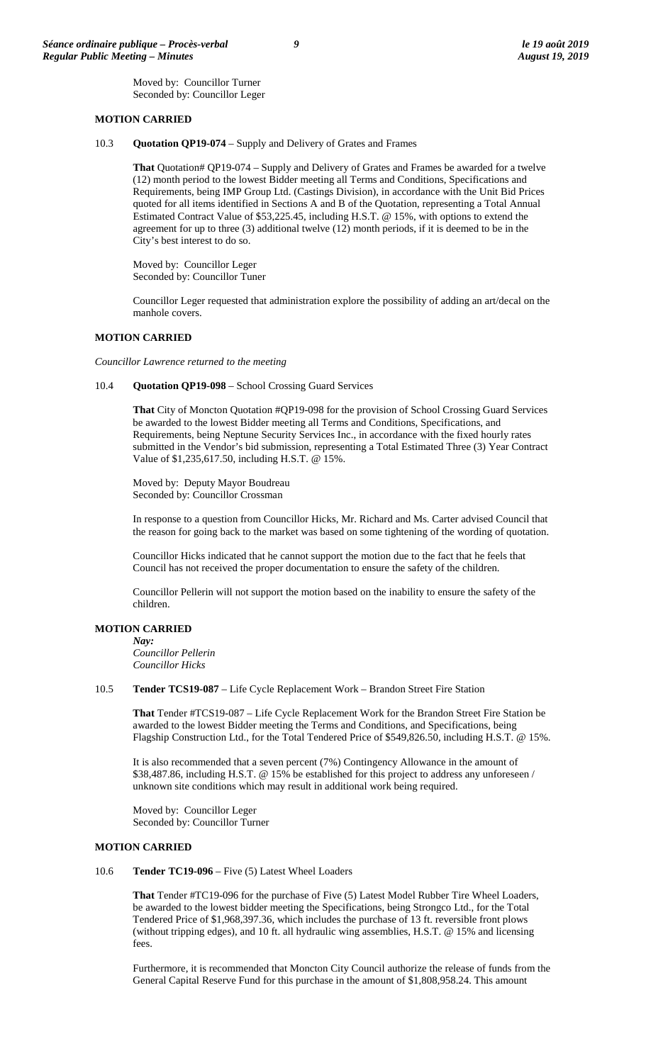Moved by: Councillor Turner Seconded by: Councillor Leger

#### **MOTION CARRIED**

10.3 **Quotation QP19-074** – Supply and Delivery of Grates and Frames

**That** Quotation# QP19-074 – Supply and Delivery of Grates and Frames be awarded for a twelve (12) month period to the lowest Bidder meeting all Terms and Conditions, Specifications and Requirements, being IMP Group Ltd. (Castings Division), in accordance with the Unit Bid Prices quoted for all items identified in Sections A and B of the Quotation, representing a Total Annual Estimated Contract Value of \$53,225.45, including H.S.T. @ 15%, with options to extend the agreement for up to three (3) additional twelve (12) month periods, if it is deemed to be in the City's best interest to do so.

Moved by: Councillor Leger Seconded by: Councillor Tuner

Councillor Leger requested that administration explore the possibility of adding an art/decal on the manhole covers.

#### **MOTION CARRIED**

*Councillor Lawrence returned to the meeting*

#### 10.4 **Quotation QP19-098** – School Crossing Guard Services

**That** City of Moncton Quotation #QP19-098 for the provision of School Crossing Guard Services be awarded to the lowest Bidder meeting all Terms and Conditions, Specifications, and Requirements, being Neptune Security Services Inc., in accordance with the fixed hourly rates submitted in the Vendor's bid submission, representing a Total Estimated Three (3) Year Contract Value of \$1,235,617.50, including H.S.T. @ 15%.

Moved by: Deputy Mayor Boudreau Seconded by: Councillor Crossman

In response to a question from Councillor Hicks, Mr. Richard and Ms. Carter advised Council that the reason for going back to the market was based on some tightening of the wording of quotation.

Councillor Hicks indicated that he cannot support the motion due to the fact that he feels that Council has not received the proper documentation to ensure the safety of the children.

Councillor Pellerin will not support the motion based on the inability to ensure the safety of the children.

#### **MOTION CARRIED**

*Nay: Councillor Pellerin Councillor Hicks*

#### 10.5 **Tender TCS19-087** – Life Cycle Replacement Work – Brandon Street Fire Station

**That** Tender #TCS19-087 – Life Cycle Replacement Work for the Brandon Street Fire Station be awarded to the lowest Bidder meeting the Terms and Conditions, and Specifications, being Flagship Construction Ltd., for the Total Tendered Price of \$549,826.50, including H.S.T. @ 15%.

It is also recommended that a seven percent (7%) Contingency Allowance in the amount of \$38,487.86, including H.S.T. @ 15% be established for this project to address any unforeseen / unknown site conditions which may result in additional work being required.

Moved by: Councillor Leger Seconded by: Councillor Turner

#### **MOTION CARRIED**

10.6 **Tender TC19-096** – Five (5) Latest Wheel Loaders

**That** Tender #TC19-096 for the purchase of Five (5) Latest Model Rubber Tire Wheel Loaders, be awarded to the lowest bidder meeting the Specifications, being Strongco Ltd., for the Total Tendered Price of \$1,968,397.36, which includes the purchase of 13 ft. reversible front plows (without tripping edges), and 10 ft. all hydraulic wing assemblies, H.S.T. @ 15% and licensing fees.

Furthermore, it is recommended that Moncton City Council authorize the release of funds from the General Capital Reserve Fund for this purchase in the amount of \$1,808,958.24. This amount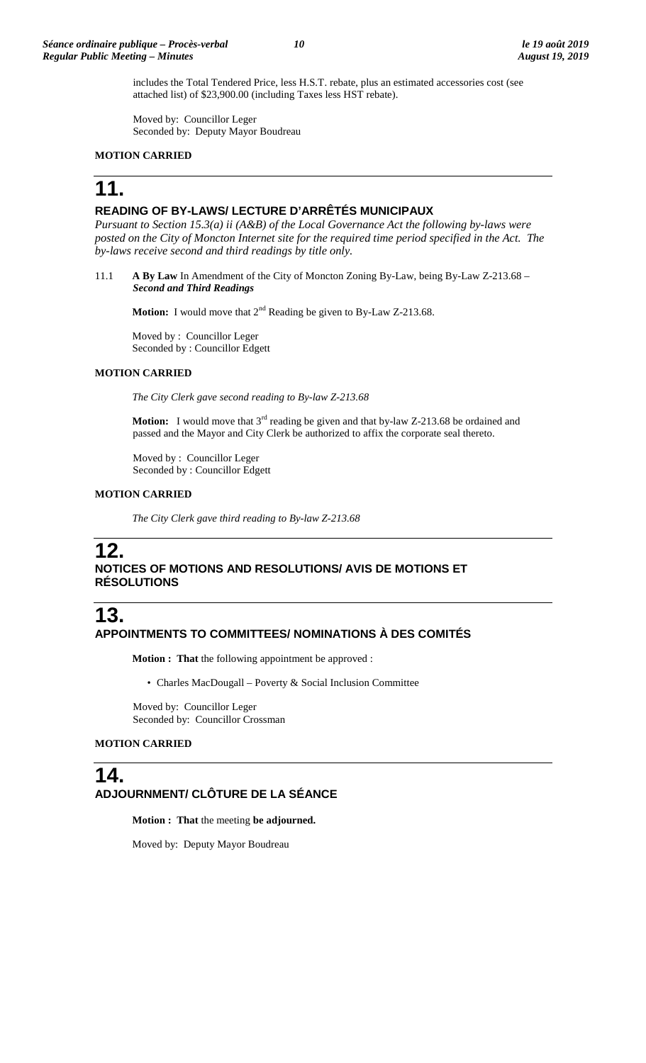includes the Total Tendered Price, less H.S.T. rebate, plus an estimated accessories cost (see attached list) of \$23,900.00 (including Taxes less HST rebate).

Moved by: Councillor Leger Seconded by: Deputy Mayor Boudreau

#### **MOTION CARRIED**

# **11.**

### **READING OF BY-LAWS/ LECTURE D'ARRÊTÉS MUNICIPAUX**

*Pursuant to Section 15.3(a) ii (A&B) of the Local Governance Act the following by-laws were posted on the City of Moncton Internet site for the required time period specified in the Act. The by-laws receive second and third readings by title only.*

11.1 **A By Law** In Amendment of the City of Moncton Zoning By-Law, being By-Law Z-213.68 – *Second and Third Readings*

**Motion:** I would move that 2<sup>nd</sup> Reading be given to By-Law Z-213.68.

Moved by : Councillor Leger Seconded by : Councillor Edgett

#### **MOTION CARRIED**

*The City Clerk gave second reading to By-law Z-213.68*

**Motion:** I would move that 3<sup>rd</sup> reading be given and that by-law Z-213.68 be ordained and passed and the Mayor and City Clerk be authorized to affix the corporate seal thereto.

Moved by : Councillor Leger Seconded by : Councillor Edgett

#### **MOTION CARRIED**

*The City Clerk gave third reading to By-law Z-213.68*

# **12.**

# **NOTICES OF MOTIONS AND RESOLUTIONS/ AVIS DE MOTIONS ET RÉSOLUTIONS**

# **13. APPOINTMENTS TO COMMITTEES/ NOMINATIONS À DES COMITÉS**

**Motion : That** the following appointment be approved :

• Charles MacDougall – Poverty & Social Inclusion Committee

Moved by: Councillor Leger Seconded by: Councillor Crossman

#### **MOTION CARRIED**

# **14. ADJOURNMENT/ CLÔTURE DE LA SÉANCE**

**Motion : That** the meeting **be adjourned.**

Moved by: Deputy Mayor Boudreau